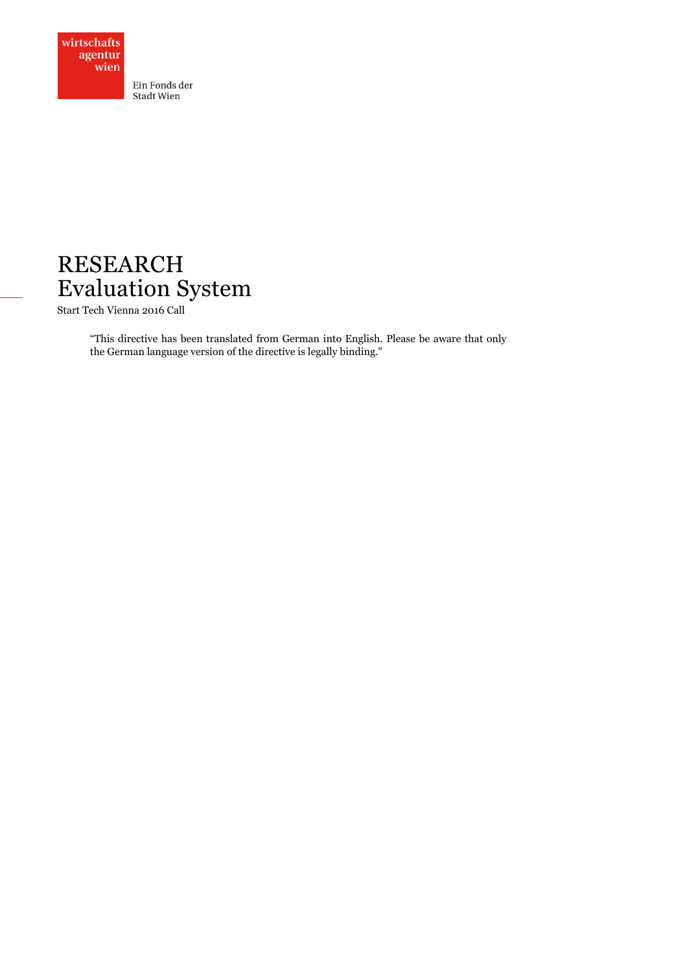



Start Tech Vienna 2016 Call

"This directive has been translated from German into English. Please be aware that only the German language version of the directive is legally binding."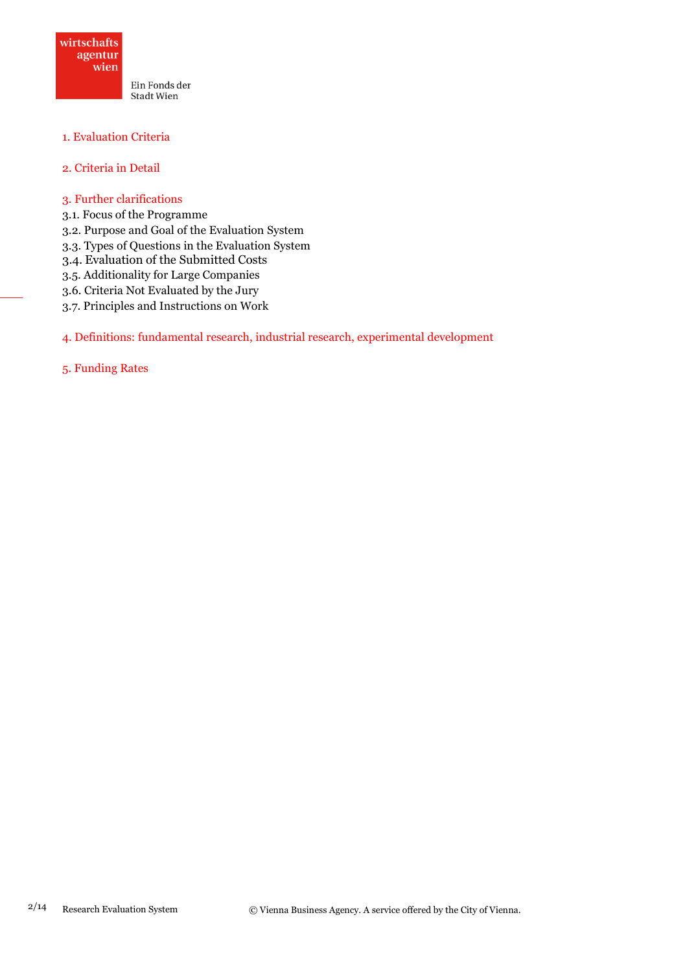

## 1. Evaluation Criteria

## 2. Criteria in Detail

- 3. Further clarifications
- 3.1. Focus of the Programme
- 3.2. Purpose and Goal of the Evaluation System
- 3.3. Types of Questions in the Evaluation System
- 3.4. Evaluation of the Submitted Costs
- 3.5. Additionality for Large Companies
- 3.6. Criteria Not Evaluated by the Jury
- 3.7. Principles and Instructions on Work

## 4. Definitions: fundamental research, industrial research, experimental development

#### 5. Funding Rates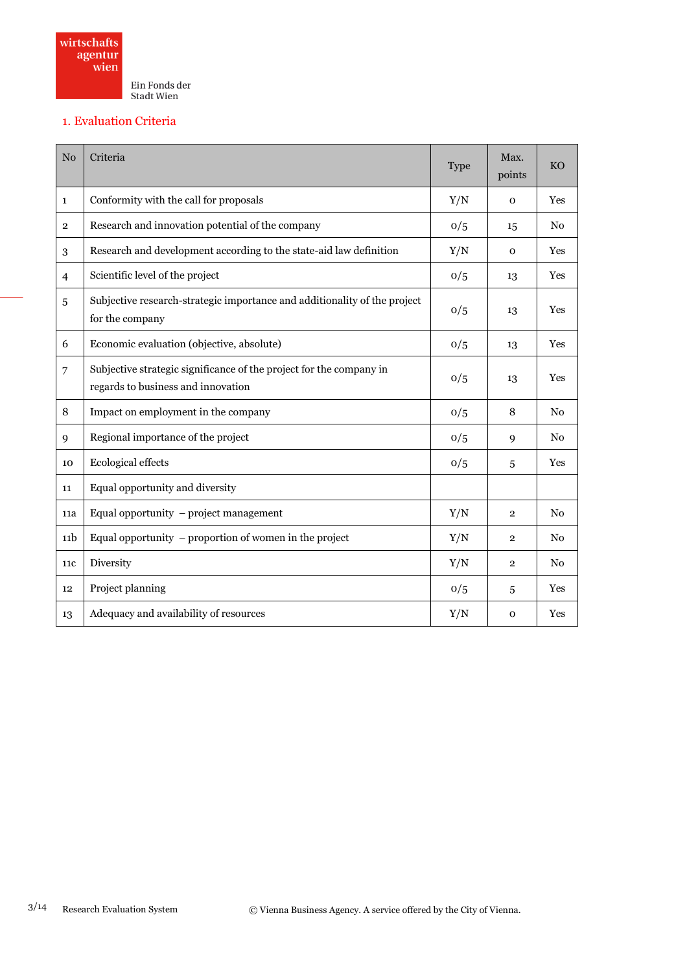

## 1. Evaluation Criteria

| N <sub>o</sub>  | Criteria                                                                                                  | <b>Type</b> | Max.<br>points | KO             |
|-----------------|-----------------------------------------------------------------------------------------------------------|-------------|----------------|----------------|
| $\mathbf{1}$    | Conformity with the call for proposals                                                                    | Y/N         | $\mathbf{O}$   | Yes            |
| $\overline{2}$  | Research and innovation potential of the company                                                          | 0/5         | 15             | No             |
| 3               | Research and development according to the state-aid law definition                                        | Y/N         | $\mathbf 0$    | Yes            |
| $\overline{4}$  | Scientific level of the project                                                                           | 0/5         | 13             | Yes            |
| 5               | Subjective research-strategic importance and additionality of the project<br>for the company              |             | 13             | Yes            |
| 6               | Economic evaluation (objective, absolute)                                                                 | 0/5         | 13             | Yes            |
| 7               | Subjective strategic significance of the project for the company in<br>regards to business and innovation | 0/5         | 13             | Yes            |
| 8               | Impact on employment in the company                                                                       | 0/5         | 8              | No             |
| 9               | Regional importance of the project                                                                        | 0/5         | 9              | N <sub>0</sub> |
| 10              | Ecological effects                                                                                        | 0/5         | 5              | Yes            |
| 11              | Equal opportunity and diversity                                                                           |             |                |                |
| 11a             | Equal opportunity - project management                                                                    | Y/N         | $\mathbf 2$    | No             |
| 11 <sub>b</sub> | Equal opportunity $-$ proportion of women in the project                                                  | Y/N         | $\overline{2}$ | No             |
| 11 <sub>c</sub> | Diversity                                                                                                 | Y/N         | $\overline{2}$ | No             |
| 12              | Project planning                                                                                          | 0/5         | 5              | Yes            |
| 13              | Adequacy and availability of resources                                                                    | Y/N         | $\mathbf{O}$   | Yes            |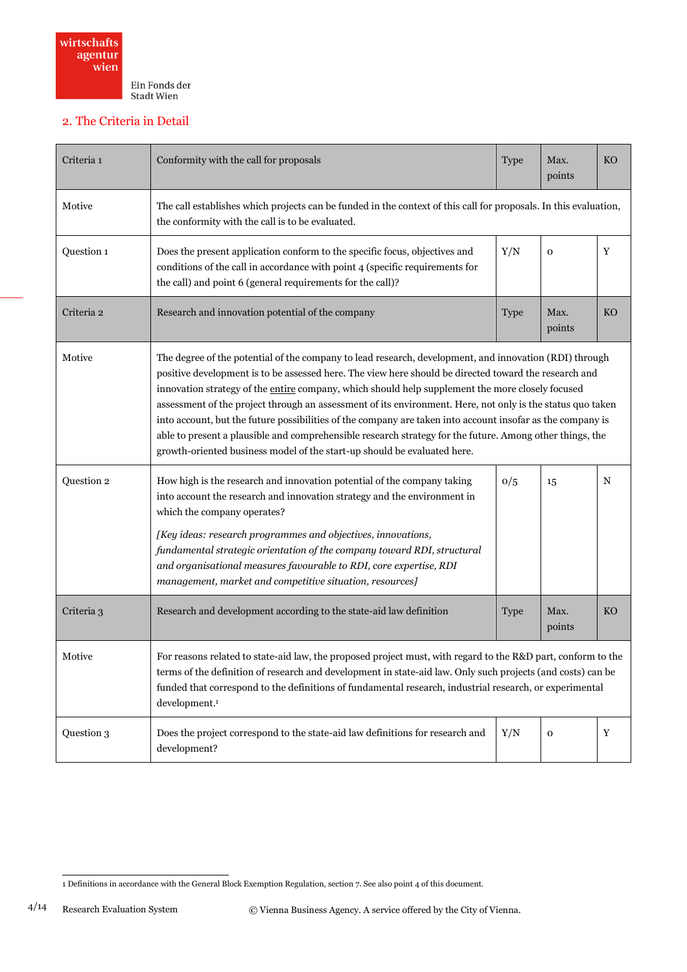

# 2. The Criteria in Detail

| Criteria 1 | Conformity with the call for proposals                                                                                                                                                                                                                                                                                                                                                                                                                                                                                                                                                                                                                                                                                                  |             | Max.<br>points | <b>KO</b>   |
|------------|-----------------------------------------------------------------------------------------------------------------------------------------------------------------------------------------------------------------------------------------------------------------------------------------------------------------------------------------------------------------------------------------------------------------------------------------------------------------------------------------------------------------------------------------------------------------------------------------------------------------------------------------------------------------------------------------------------------------------------------------|-------------|----------------|-------------|
| Motive     | The call establishes which projects can be funded in the context of this call for proposals. In this evaluation,<br>the conformity with the call is to be evaluated.                                                                                                                                                                                                                                                                                                                                                                                                                                                                                                                                                                    |             |                |             |
| Question 1 | Does the present application conform to the specific focus, objectives and<br>Y/N<br>$\mathbf 0$<br>conditions of the call in accordance with point 4 (specific requirements for<br>the call) and point 6 (general requirements for the call)?                                                                                                                                                                                                                                                                                                                                                                                                                                                                                          |             |                | Y           |
| Criteria 2 | Research and innovation potential of the company<br><b>Type</b>                                                                                                                                                                                                                                                                                                                                                                                                                                                                                                                                                                                                                                                                         |             | Max.<br>points | <b>KO</b>   |
| Motive     | The degree of the potential of the company to lead research, development, and innovation (RDI) through<br>positive development is to be assessed here. The view here should be directed toward the research and<br>innovation strategy of the entire company, which should help supplement the more closely focused<br>assessment of the project through an assessment of its environment. Here, not only is the status quo taken<br>into account, but the future possibilities of the company are taken into account insofar as the company is<br>able to present a plausible and comprehensible research strategy for the future. Among other things, the<br>growth-oriented business model of the start-up should be evaluated here. |             |                |             |
| Question 2 | How high is the research and innovation potential of the company taking<br>0/5<br>into account the research and innovation strategy and the environment in<br>which the company operates?<br>[Key ideas: research programmes and objectives, innovations,<br>fundamental strategic orientation of the company toward RDI, structural<br>and organisational measures favourable to RDI, core expertise, RDI<br>management, market and competitive situation, resources]                                                                                                                                                                                                                                                                  |             | 15             | $\mathbf N$ |
| Criteria 3 | Research and development according to the state-aid law definition                                                                                                                                                                                                                                                                                                                                                                                                                                                                                                                                                                                                                                                                      | <b>Type</b> | Max.<br>points | <b>KO</b>   |
| Motive     | For reasons related to state-aid law, the proposed project must, with regard to the R&D part, conform to the<br>terms of the definition of research and development in state-aid law. Only such projects (and costs) can be<br>funded that correspond to the definitions of fundamental research, industrial research, or experimental<br>development. <sup>1</sup>                                                                                                                                                                                                                                                                                                                                                                     |             |                |             |
| Question 3 | Does the project correspond to the state-aid law definitions for research and<br>development?                                                                                                                                                                                                                                                                                                                                                                                                                                                                                                                                                                                                                                           | Y/N         | $\mathbf 0$    | Y           |

 1 Definitions in accordance with the General Block Exemption Regulation, section 7. See also point 4 of this document.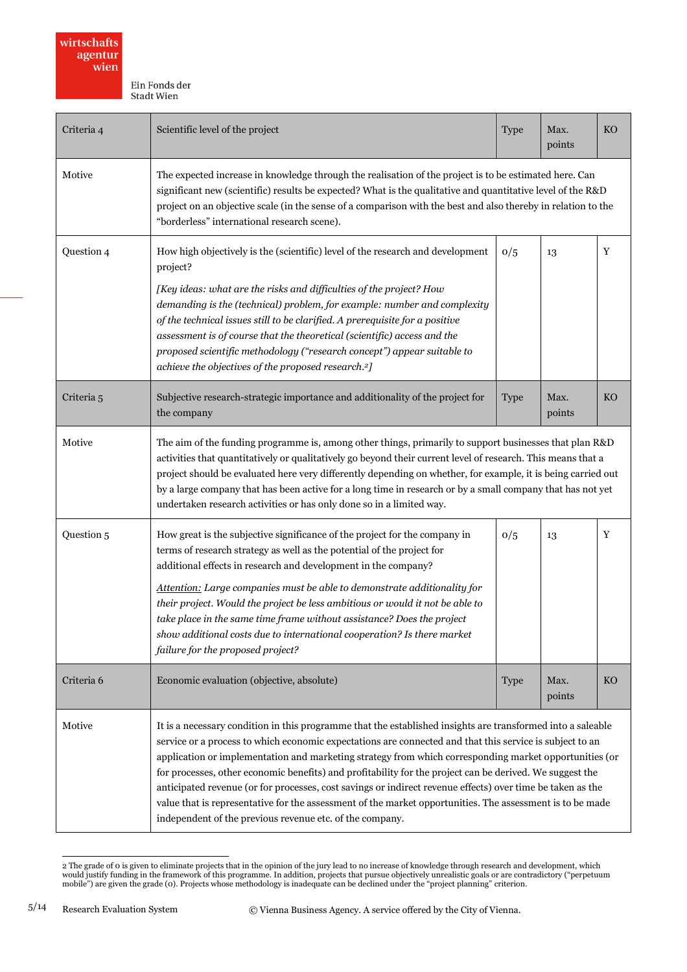| Criteria 4 | Scientific level of the project                                                                                                                                                                                                                                                                                                                                                                                                                                                                                                                                                                                                                                                                                                      |             | Max.<br>points | <b>KO</b> |
|------------|--------------------------------------------------------------------------------------------------------------------------------------------------------------------------------------------------------------------------------------------------------------------------------------------------------------------------------------------------------------------------------------------------------------------------------------------------------------------------------------------------------------------------------------------------------------------------------------------------------------------------------------------------------------------------------------------------------------------------------------|-------------|----------------|-----------|
| Motive     | The expected increase in knowledge through the realisation of the project is to be estimated here. Can<br>significant new (scientific) results be expected? What is the qualitative and quantitative level of the R&D<br>project on an objective scale (in the sense of a comparison with the best and also thereby in relation to the<br>"borderless" international research scene).                                                                                                                                                                                                                                                                                                                                                |             |                |           |
| Question 4 | How high objectively is the (scientific) level of the research and development<br>project?<br>[Key ideas: what are the risks and difficulties of the project? How<br>demanding is the (technical) problem, for example: number and complexity<br>of the technical issues still to be clarified. A prerequisite for a positive<br>assessment is of course that the theoretical (scientific) access and the<br>proposed scientific methodology ("research concept") appear suitable to<br>achieve the objectives of the proposed research. <sup>2</sup> ]                                                                                                                                                                              |             | 13             | Y         |
| Criteria 5 | Subjective research-strategic importance and additionality of the project for<br>the company                                                                                                                                                                                                                                                                                                                                                                                                                                                                                                                                                                                                                                         | <b>Type</b> | Max.<br>points | <b>KO</b> |
| Motive     | The aim of the funding programme is, among other things, primarily to support businesses that plan R&D<br>activities that quantitatively or qualitatively go beyond their current level of research. This means that a<br>project should be evaluated here very differently depending on whether, for example, it is being carried out<br>by a large company that has been active for a long time in research or by a small company that has not yet<br>undertaken research activities or has only done so in a limited way.                                                                                                                                                                                                         |             |                |           |
| Question 5 | How great is the subjective significance of the project for the company in<br>terms of research strategy as well as the potential of the project for<br>additional effects in research and development in the company?<br>Attention: Large companies must be able to demonstrate additionality for<br>their project. Would the project be less ambitious or would it not be able to<br>take place in the same time frame without assistance? Does the project<br>show additional costs due to international cooperation? Is there market<br>failure for the proposed project?                                                                                                                                                        | 0/5         | 13             | Y         |
| Criteria 6 | Economic evaluation (objective, absolute)                                                                                                                                                                                                                                                                                                                                                                                                                                                                                                                                                                                                                                                                                            | <b>Type</b> | Max.<br>points | <b>KO</b> |
| Motive     | It is a necessary condition in this programme that the established insights are transformed into a saleable<br>service or a process to which economic expectations are connected and that this service is subject to an<br>application or implementation and marketing strategy from which corresponding market opportunities (or<br>for processes, other economic benefits) and profitability for the project can be derived. We suggest the<br>anticipated revenue (or for processes, cost savings or indirect revenue effects) over time be taken as the<br>value that is representative for the assessment of the market opportunities. The assessment is to be made<br>independent of the previous revenue etc. of the company. |             |                |           |

<sup>2</sup> The grade of 0 is given to eliminate projects that in the opinion of the jury lead to no increase of knowledge through research and development, which<br>would justify funding in the framework of this programme. In addition

 $\overline{a}$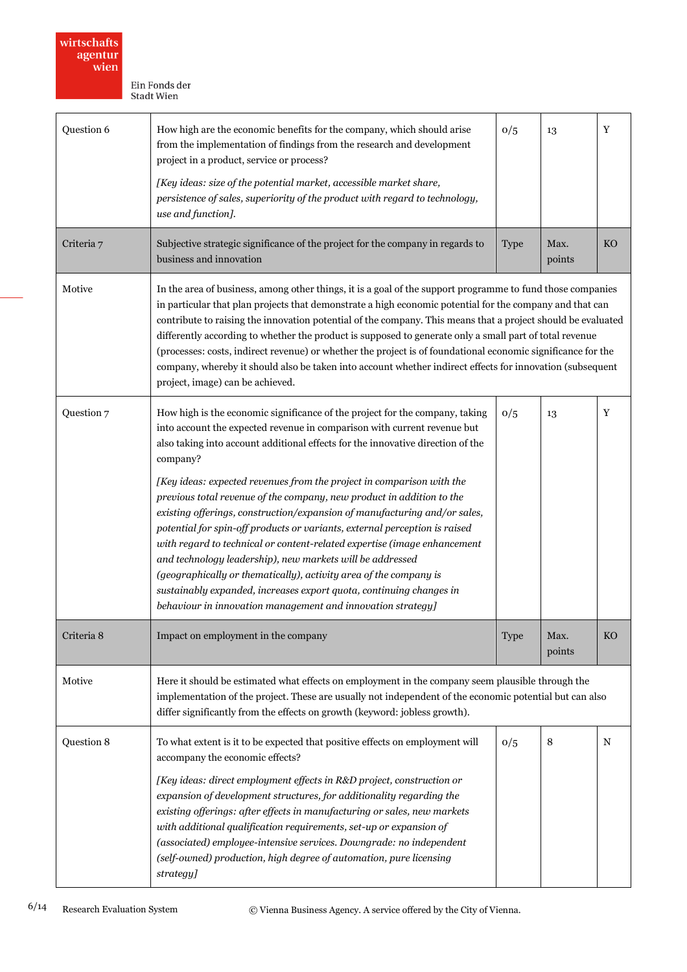| Question 6                                        | How high are the economic benefits for the company, which should arise<br>from the implementation of findings from the research and development<br>project in a product, service or process?<br>[Key ideas: size of the potential market, accessible market share,<br>persistence of sales, superiority of the product with regard to technology,<br>use and function].                                                                                                                                                                                                                                                                                                                                                                                                                                                                                                                                                  |             | 13             | Y           |
|---------------------------------------------------|--------------------------------------------------------------------------------------------------------------------------------------------------------------------------------------------------------------------------------------------------------------------------------------------------------------------------------------------------------------------------------------------------------------------------------------------------------------------------------------------------------------------------------------------------------------------------------------------------------------------------------------------------------------------------------------------------------------------------------------------------------------------------------------------------------------------------------------------------------------------------------------------------------------------------|-------------|----------------|-------------|
| Criteria 7                                        | Subjective strategic significance of the project for the company in regards to<br>business and innovation                                                                                                                                                                                                                                                                                                                                                                                                                                                                                                                                                                                                                                                                                                                                                                                                                | <b>Type</b> | Max.<br>points | KO          |
| Motive                                            | In the area of business, among other things, it is a goal of the support programme to fund those companies<br>in particular that plan projects that demonstrate a high economic potential for the company and that can<br>contribute to raising the innovation potential of the company. This means that a project should be evaluated<br>differently according to whether the product is supposed to generate only a small part of total revenue<br>(processes: costs, indirect revenue) or whether the project is of foundational economic significance for the<br>company, whereby it should also be taken into account whether indirect effects for innovation (subsequent<br>project, image) can be achieved.                                                                                                                                                                                                       |             |                |             |
| Question 7                                        | How high is the economic significance of the project for the company, taking<br>into account the expected revenue in comparison with current revenue but<br>also taking into account additional effects for the innovative direction of the<br>company?<br>[Key ideas: expected revenues from the project in comparison with the<br>previous total revenue of the company, new product in addition to the<br>existing offerings, construction/expansion of manufacturing and/or sales,<br>potential for spin-off products or variants, external perception is raised<br>with regard to technical or content-related expertise (image enhancement<br>and technology leadership), new markets will be addressed<br>(geographically or thematically), activity area of the company is<br>sustainably expanded, increases export quota, continuing changes in<br>behaviour in innovation management and innovation strategy] |             | 13             | $\mathbf Y$ |
| Impact on employment in the company<br>Criteria 8 |                                                                                                                                                                                                                                                                                                                                                                                                                                                                                                                                                                                                                                                                                                                                                                                                                                                                                                                          | <b>Type</b> | Max.<br>points | <b>KO</b>   |
| Motive                                            | Here it should be estimated what effects on employment in the company seem plausible through the<br>implementation of the project. These are usually not independent of the economic potential but can also<br>differ significantly from the effects on growth (keyword: jobless growth).                                                                                                                                                                                                                                                                                                                                                                                                                                                                                                                                                                                                                                |             |                |             |
| Question 8                                        | To what extent is it to be expected that positive effects on employment will<br>accompany the economic effects?<br>[Key ideas: direct employment effects in R&D project, construction or<br>expansion of development structures, for additionality regarding the<br>existing offerings: after effects in manufacturing or sales, new markets<br>with additional qualification requirements, set-up or expansion of<br>(associated) employee-intensive services. Downgrade: no independent<br>(self-owned) production, high degree of automation, pure licensing<br>strategy]                                                                                                                                                                                                                                                                                                                                             | 0/5         | 8              | $\mathbf N$ |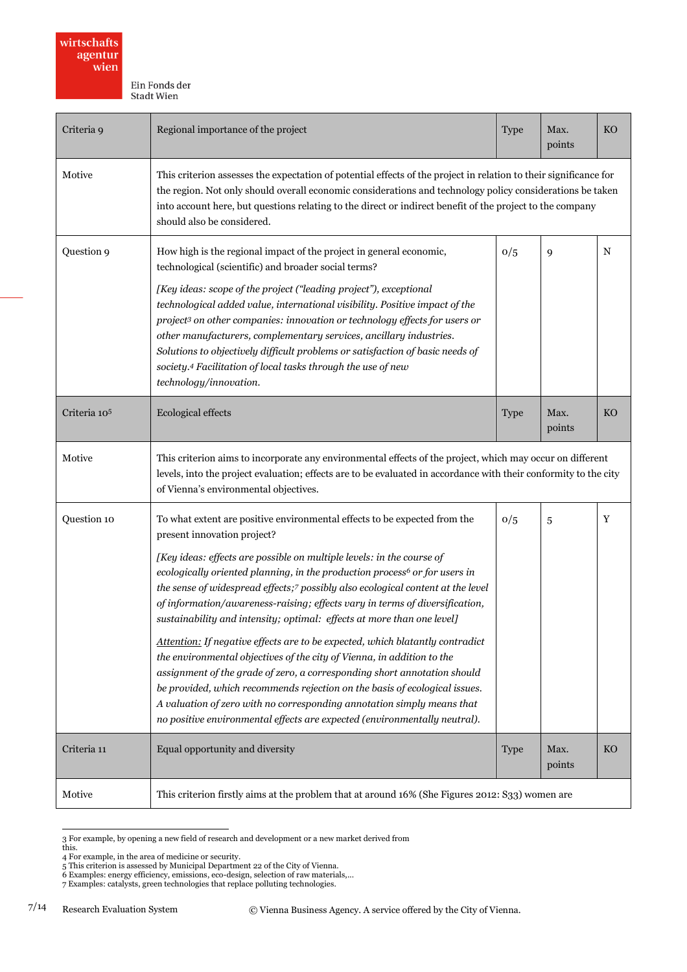| Criteria 9   | Regional importance of the project                                                                                                                                                                                                                                                                                                                                                                                                                                                                                                                                                                                                                                                                                                                                                                                                                                                                                                                                                                  |             | Max.<br>points | <b>KO</b> |
|--------------|-----------------------------------------------------------------------------------------------------------------------------------------------------------------------------------------------------------------------------------------------------------------------------------------------------------------------------------------------------------------------------------------------------------------------------------------------------------------------------------------------------------------------------------------------------------------------------------------------------------------------------------------------------------------------------------------------------------------------------------------------------------------------------------------------------------------------------------------------------------------------------------------------------------------------------------------------------------------------------------------------------|-------------|----------------|-----------|
| Motive       | This criterion assesses the expectation of potential effects of the project in relation to their significance for<br>the region. Not only should overall economic considerations and technology policy considerations be taken<br>into account here, but questions relating to the direct or indirect benefit of the project to the company<br>should also be considered.                                                                                                                                                                                                                                                                                                                                                                                                                                                                                                                                                                                                                           |             |                |           |
| Question 9   | How high is the regional impact of the project in general economic,<br>technological (scientific) and broader social terms?<br>[Key ideas: scope of the project ("leading project"), exceptional<br>technological added value, international visibility. Positive impact of the<br>project <sup>3</sup> on other companies: innovation or technology effects for users or<br>other manufacturers, complementary services, ancillary industries.<br>Solutions to objectively difficult problems or satisfaction of basic needs of<br>society.4 Facilitation of local tasks through the use of new<br>technology/innovation.                                                                                                                                                                                                                                                                                                                                                                          |             | 9              | N         |
| Criteria 105 | Ecological effects                                                                                                                                                                                                                                                                                                                                                                                                                                                                                                                                                                                                                                                                                                                                                                                                                                                                                                                                                                                  |             | Max.<br>points | <b>KO</b> |
| Motive       | This criterion aims to incorporate any environmental effects of the project, which may occur on different<br>levels, into the project evaluation; effects are to be evaluated in accordance with their conformity to the city<br>of Vienna's environmental objectives.                                                                                                                                                                                                                                                                                                                                                                                                                                                                                                                                                                                                                                                                                                                              |             |                |           |
| Question 10  | To what extent are positive environmental effects to be expected from the<br>present innovation project?<br>[Key ideas: effects are possible on multiple levels: in the course of<br>ecologically oriented planning, in the production process <sup>6</sup> or for users in<br>the sense of widespread effects;7 possibly also ecological content at the level<br>of information/awareness-raising; effects vary in terms of diversification,<br>sustainability and intensity; optimal: effects at more than one level]<br>Attention: If negative effects are to be expected, which blatantly contradict<br>the environmental objectives of the city of Vienna, in addition to the<br>assignment of the grade of zero, a corresponding short annotation should<br>be provided, which recommends rejection on the basis of ecological issues.<br>A valuation of zero with no corresponding annotation simply means that<br>no positive environmental effects are expected (environmentally neutral). | 0/5         | 5              | Y         |
| Criteria 11  | Equal opportunity and diversity                                                                                                                                                                                                                                                                                                                                                                                                                                                                                                                                                                                                                                                                                                                                                                                                                                                                                                                                                                     | <b>Type</b> | Max.<br>points | <b>KO</b> |
| Motive       | This criterion firstly aims at the problem that at around 16% (She Figures 2012: S33) women are                                                                                                                                                                                                                                                                                                                                                                                                                                                                                                                                                                                                                                                                                                                                                                                                                                                                                                     |             |                |           |

 3 For example, by opening a new field of research and development or a new market derived from this.

<sup>4</sup> For example, in the area of medicine or security.<br>5 This criterion is assessed by Municipal Department 22 of the City of Vienna.<br>6 Examples: energy efficiency, emissions, eco-design, selection of raw materials,...<br>7 Exam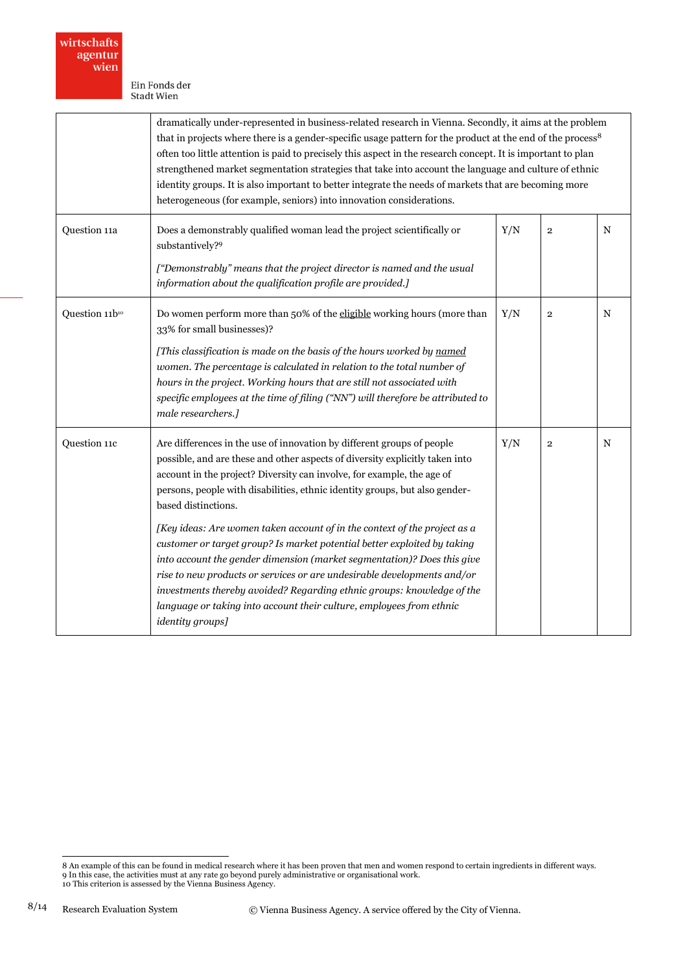|                | dramatically under-represented in business-related research in Vienna. Secondly, it aims at the problem<br>that in projects where there is a gender-specific usage pattern for the product at the end of the process <sup>8</sup><br>often too little attention is paid to precisely this aspect in the research concept. It is important to plan<br>strengthened market segmentation strategies that take into account the language and culture of ethnic<br>identity groups. It is also important to better integrate the needs of markets that are becoming more<br>heterogeneous (for example, seniors) into innovation considerations.                                                                                                                                                                                 |     |                |             |
|----------------|-----------------------------------------------------------------------------------------------------------------------------------------------------------------------------------------------------------------------------------------------------------------------------------------------------------------------------------------------------------------------------------------------------------------------------------------------------------------------------------------------------------------------------------------------------------------------------------------------------------------------------------------------------------------------------------------------------------------------------------------------------------------------------------------------------------------------------|-----|----------------|-------------|
| Question 11a   | Does a demonstrably qualified woman lead the project scientifically or<br>Y/N<br>$\mathbf{2}$<br>substantively? <sup>9</sup><br>["Demonstrably" means that the project director is named and the usual<br>information about the qualification profile are provided.]                                                                                                                                                                                                                                                                                                                                                                                                                                                                                                                                                        |     |                | $\mathbf N$ |
| Question 11b10 | Do women perform more than 50% of the eligible working hours (more than<br>33% for small businesses)?<br>[This classification is made on the basis of the hours worked by named<br>women. The percentage is calculated in relation to the total number of<br>hours in the project. Working hours that are still not associated with<br>specific employees at the time of filing ("NN") will therefore be attributed to<br>male researchers.]                                                                                                                                                                                                                                                                                                                                                                                |     | $\overline{2}$ | N           |
| Question 11c   | Are differences in the use of innovation by different groups of people<br>possible, and are these and other aspects of diversity explicitly taken into<br>account in the project? Diversity can involve, for example, the age of<br>persons, people with disabilities, ethnic identity groups, but also gender-<br>based distinctions.<br>[Key ideas: Are women taken account of in the context of the project as a<br>customer or target group? Is market potential better exploited by taking<br>into account the gender dimension (market segmentation)? Does this give<br>rise to new products or services or are undesirable developments and/or<br>investments thereby avoided? Regarding ethnic groups: knowledge of the<br>language or taking into account their culture, employees from ethnic<br>identity groups] | Y/N | $\overline{2}$ | $\mathbf N$ |

<sup>.&</sup>lt;br>8 An example of this can be found in medical research where it has been proven that men and women respond to certain ingredients in different ways.<br>9 In this case, the activities must at any rate go beyond purely adminis 10 This criterion is assessed by the Vienna Business Agency.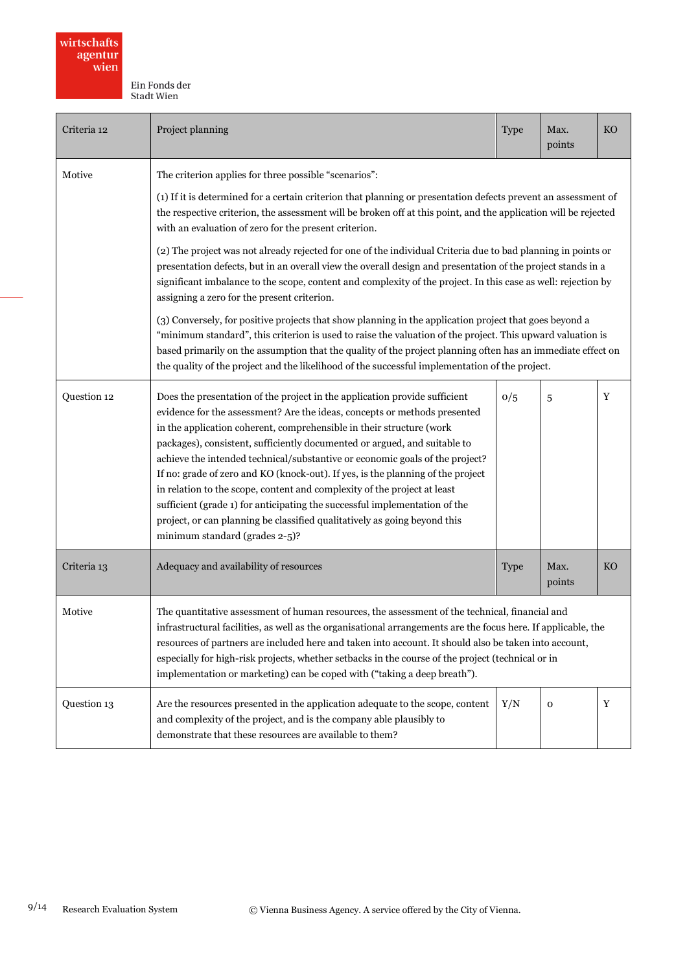| Criteria 12 | Project planning                                                                                                                                                                                                                                                                                                                                                                                                                                                                                                                                                                                                                                                                                                                                         |                                                                                                                                                                                                                                                                                                                                              | Max.<br>points | <b>KO</b> |  |
|-------------|----------------------------------------------------------------------------------------------------------------------------------------------------------------------------------------------------------------------------------------------------------------------------------------------------------------------------------------------------------------------------------------------------------------------------------------------------------------------------------------------------------------------------------------------------------------------------------------------------------------------------------------------------------------------------------------------------------------------------------------------------------|----------------------------------------------------------------------------------------------------------------------------------------------------------------------------------------------------------------------------------------------------------------------------------------------------------------------------------------------|----------------|-----------|--|
| Motive      | The criterion applies for three possible "scenarios":                                                                                                                                                                                                                                                                                                                                                                                                                                                                                                                                                                                                                                                                                                    |                                                                                                                                                                                                                                                                                                                                              |                |           |  |
|             | with an evaluation of zero for the present criterion.                                                                                                                                                                                                                                                                                                                                                                                                                                                                                                                                                                                                                                                                                                    | (1) If it is determined for a certain criterion that planning or presentation defects prevent an assessment of<br>the respective criterion, the assessment will be broken off at this point, and the application will be rejected                                                                                                            |                |           |  |
|             | assigning a zero for the present criterion.                                                                                                                                                                                                                                                                                                                                                                                                                                                                                                                                                                                                                                                                                                              | (2) The project was not already rejected for one of the individual Criteria due to bad planning in points or<br>presentation defects, but in an overall view the overall design and presentation of the project stands in a<br>significant imbalance to the scope, content and complexity of the project. In this case as well: rejection by |                |           |  |
|             | the quality of the project and the likelihood of the successful implementation of the project.                                                                                                                                                                                                                                                                                                                                                                                                                                                                                                                                                                                                                                                           | (3) Conversely, for positive projects that show planning in the application project that goes beyond a<br>"minimum standard", this criterion is used to raise the valuation of the project. This upward valuation is<br>based primarily on the assumption that the quality of the project planning often has an immediate effect on          |                |           |  |
| Question 12 | Does the presentation of the project in the application provide sufficient<br>evidence for the assessment? Are the ideas, concepts or methods presented<br>in the application coherent, comprehensible in their structure (work<br>packages), consistent, sufficiently documented or argued, and suitable to<br>achieve the intended technical/substantive or economic goals of the project?<br>If no: grade of zero and KO (knock-out). If yes, is the planning of the project<br>in relation to the scope, content and complexity of the project at least<br>sufficient (grade 1) for anticipating the successful implementation of the<br>project, or can planning be classified qualitatively as going beyond this<br>minimum standard (grades 2-5)? | 0/5                                                                                                                                                                                                                                                                                                                                          | 5              | Y         |  |
| Criteria 13 | Adequacy and availability of resources                                                                                                                                                                                                                                                                                                                                                                                                                                                                                                                                                                                                                                                                                                                   |                                                                                                                                                                                                                                                                                                                                              | Max.<br>points | <b>KO</b> |  |
| Motive      | The quantitative assessment of human resources, the assessment of the technical, financial and<br>infrastructural facilities, as well as the organisational arrangements are the focus here. If applicable, the<br>resources of partners are included here and taken into account. It should also be taken into account,<br>especially for high-risk projects, whether setbacks in the course of the project (technical or in<br>implementation or marketing) can be coped with ("taking a deep breath").                                                                                                                                                                                                                                                |                                                                                                                                                                                                                                                                                                                                              |                |           |  |
| Question 13 | Are the resources presented in the application adequate to the scope, content<br>and complexity of the project, and is the company able plausibly to<br>demonstrate that these resources are available to them?                                                                                                                                                                                                                                                                                                                                                                                                                                                                                                                                          | Y/N                                                                                                                                                                                                                                                                                                                                          | o              | Y         |  |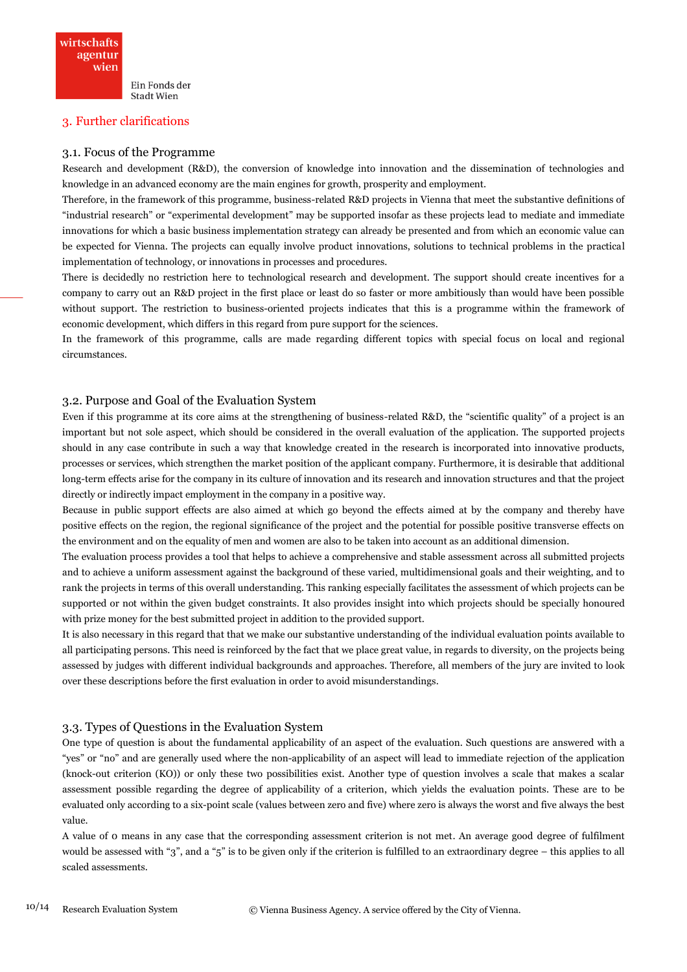## 3. Further clarifications

#### 3.1. Focus of the Programme

Research and development (R&D), the conversion of knowledge into innovation and the dissemination of technologies and knowledge in an advanced economy are the main engines for growth, prosperity and employment.

Therefore, in the framework of this programme, business-related R&D projects in Vienna that meet the substantive definitions of "industrial research" or "experimental development" may be supported insofar as these projects lead to mediate and immediate innovations for which a basic business implementation strategy can already be presented and from which an economic value can be expected for Vienna. The projects can equally involve product innovations, solutions to technical problems in the practical implementation of technology, or innovations in processes and procedures.

There is decidedly no restriction here to technological research and development. The support should create incentives for a company to carry out an R&D project in the first place or least do so faster or more ambitiously than would have been possible without support. The restriction to business-oriented projects indicates that this is a programme within the framework of economic development, which differs in this regard from pure support for the sciences.

In the framework of this programme, calls are made regarding different topics with special focus on local and regional circumstances.

#### 3.2. Purpose and Goal of the Evaluation System

Even if this programme at its core aims at the strengthening of business-related R&D, the "scientific quality" of a project is an important but not sole aspect, which should be considered in the overall evaluation of the application. The supported projects should in any case contribute in such a way that knowledge created in the research is incorporated into innovative products, processes or services, which strengthen the market position of the applicant company. Furthermore, it is desirable that additional long-term effects arise for the company in its culture of innovation and its research and innovation structures and that the project directly or indirectly impact employment in the company in a positive way.

Because in public support effects are also aimed at which go beyond the effects aimed at by the company and thereby have positive effects on the region, the regional significance of the project and the potential for possible positive transverse effects on the environment and on the equality of men and women are also to be taken into account as an additional dimension.

The evaluation process provides a tool that helps to achieve a comprehensive and stable assessment across all submitted projects and to achieve a uniform assessment against the background of these varied, multidimensional goals and their weighting, and to rank the projects in terms of this overall understanding. This ranking especially facilitates the assessment of which projects can be supported or not within the given budget constraints. It also provides insight into which projects should be specially honoured with prize money for the best submitted project in addition to the provided support.

It is also necessary in this regard that that we make our substantive understanding of the individual evaluation points available to all participating persons. This need is reinforced by the fact that we place great value, in regards to diversity, on the projects being assessed by judges with different individual backgrounds and approaches. Therefore, all members of the jury are invited to look over these descriptions before the first evaluation in order to avoid misunderstandings.

#### 3.3. Types of Questions in the Evaluation System

One type of question is about the fundamental applicability of an aspect of the evaluation. Such questions are answered with a "yes" or "no" and are generally used where the non-applicability of an aspect will lead to immediate rejection of the application (knock-out criterion (KO)) or only these two possibilities exist. Another type of question involves a scale that makes a scalar assessment possible regarding the degree of applicability of a criterion, which yields the evaluation points. These are to be evaluated only according to a six-point scale (values between zero and five) where zero is always the worst and five always the best value.

A value of 0 means in any case that the corresponding assessment criterion is not met. An average good degree of fulfilment would be assessed with "3", and a "5" is to be given only if the criterion is fulfilled to an extraordinary degree – this applies to all scaled assessments.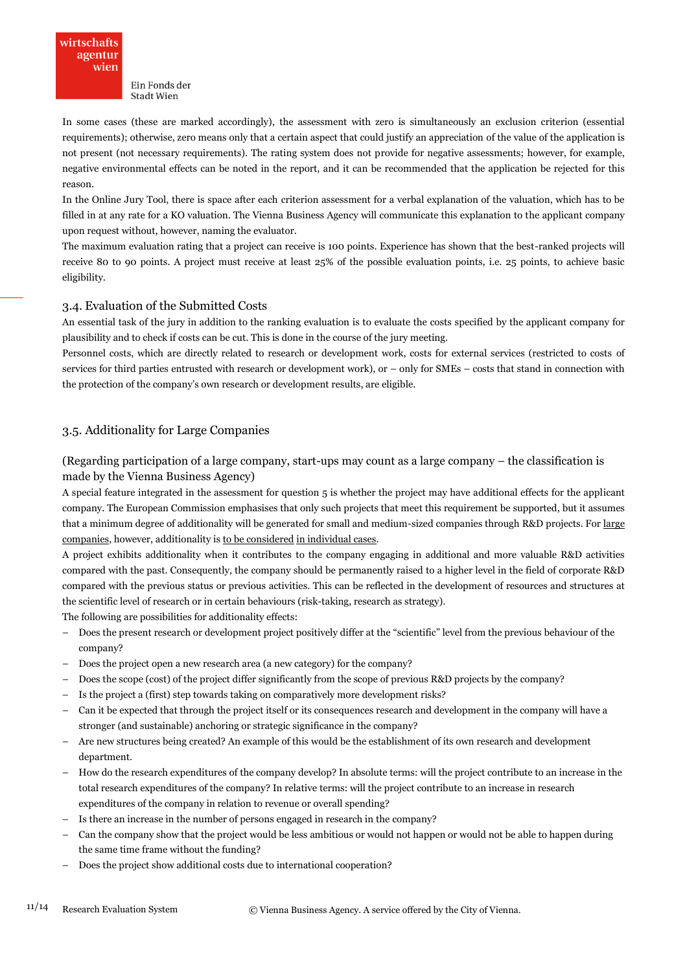

In some cases (these are marked accordingly), the assessment with zero is simultaneously an exclusion criterion (essential requirements); otherwise, zero means only that a certain aspect that could justify an appreciation of the value of the application is not present (not necessary requirements). The rating system does not provide for negative assessments; however, for example, negative environmental effects can be noted in the report, and it can be recommended that the application be rejected for this reason.

In the Online Jury Tool, there is space after each criterion assessment for a verbal explanation of the valuation, which has to be filled in at any rate for a KO valuation. The Vienna Business Agency will communicate this explanation to the applicant company upon request without, however, naming the evaluator.

The maximum evaluation rating that a project can receive is 100 points. Experience has shown that the best-ranked projects will receive 80 to 90 points. A project must receive at least 25% of the possible evaluation points, i.e. 25 points, to achieve basic eligibility.

#### 3.4. Evaluation of the Submitted Costs

An essential task of the jury in addition to the ranking evaluation is to evaluate the costs specified by the applicant company for plausibility and to check if costs can be cut. This is done in the course of the jury meeting.

Personnel costs, which are directly related to research or development work, costs for external services (restricted to costs of services for third parties entrusted with research or development work), or – only for SMEs – costs that stand in connection with the protection of the company's own research or development results, are eligible.

## 3.5. Additionality for Large Companies

(Regarding participation of a large company, start-ups may count as a large company – the classification is made by the Vienna Business Agency)

A special feature integrated in the assessment for question 5 is whether the project may have additional effects for the applicant company. The European Commission emphasises that only such projects that meet this requirement be supported, but it assumes that a minimum degree of additionality will be generated for small and medium-sized companies through R&D projects. For large companies, however, additionality is to be considered in individual cases.

A project exhibits additionality when it contributes to the company engaging in additional and more valuable R&D activities compared with the past. Consequently, the company should be permanently raised to a higher level in the field of corporate R&D compared with the previous status or previous activities. This can be reflected in the development of resources and structures at the scientific level of research or in certain behaviours (risk-taking, research as strategy).

The following are possibilities for additionality effects:

- Does the present research or development project positively differ at the "scientific" level from the previous behaviour of the company?
- Does the project open a new research area (a new category) for the company?
- Does the scope (cost) of the project differ significantly from the scope of previous R&D projects by the company?
- Is the project a (first) step towards taking on comparatively more development risks?
- Can it be expected that through the project itself or its consequences research and development in the company will have a stronger (and sustainable) anchoring or strategic significance in the company?
- Are new structures being created? An example of this would be the establishment of its own research and development department.
- How do the research expenditures of the company develop? In absolute terms: will the project contribute to an increase in the total research expenditures of the company? In relative terms: will the project contribute to an increase in research expenditures of the company in relation to revenue or overall spending?
- Is there an increase in the number of persons engaged in research in the company?
- Can the company show that the project would be less ambitious or would not happen or would not be able to happen during the same time frame without the funding?
- Does the project show additional costs due to international cooperation?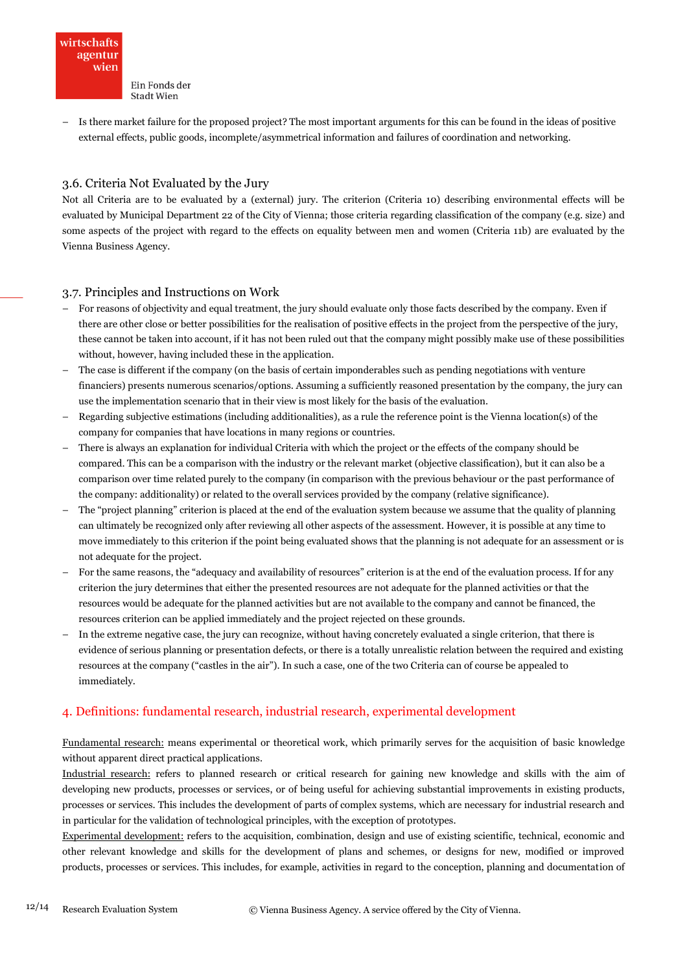

– Is there market failure for the proposed project? The most important arguments for this can be found in the ideas of positive external effects, public goods, incomplete/asymmetrical information and failures of coordination and networking.

## 3.6. Criteria Not Evaluated by the Jury

Not all Criteria are to be evaluated by a (external) jury. The criterion (Criteria 10) describing environmental effects will be evaluated by Municipal Department 22 of the City of Vienna; those criteria regarding classification of the company (e.g. size) and some aspects of the project with regard to the effects on equality between men and women (Criteria 11b) are evaluated by the Vienna Business Agency.

#### 3.7. Principles and Instructions on Work

- For reasons of objectivity and equal treatment, the jury should evaluate only those facts described by the company. Even if there are other close or better possibilities for the realisation of positive effects in the project from the perspective of the jury, these cannot be taken into account, if it has not been ruled out that the company might possibly make use of these possibilities without, however, having included these in the application.
- The case is different if the company (on the basis of certain imponderables such as pending negotiations with venture financiers) presents numerous scenarios/options. Assuming a sufficiently reasoned presentation by the company, the jury can use the implementation scenario that in their view is most likely for the basis of the evaluation.
- Regarding subjective estimations (including additionalities), as a rule the reference point is the Vienna location(s) of the company for companies that have locations in many regions or countries.
- There is always an explanation for individual Criteria with which the project or the effects of the company should be compared. This can be a comparison with the industry or the relevant market (objective classification), but it can also be a comparison over time related purely to the company (in comparison with the previous behaviour or the past performance of the company: additionality) or related to the overall services provided by the company (relative significance).
- The "project planning" criterion is placed at the end of the evaluation system because we assume that the quality of planning can ultimately be recognized only after reviewing all other aspects of the assessment. However, it is possible at any time to move immediately to this criterion if the point being evaluated shows that the planning is not adequate for an assessment or is not adequate for the project.
- For the same reasons, the "adequacy and availability of resources" criterion is at the end of the evaluation process. If for any criterion the jury determines that either the presented resources are not adequate for the planned activities or that the resources would be adequate for the planned activities but are not available to the company and cannot be financed, the resources criterion can be applied immediately and the project rejected on these grounds.
- In the extreme negative case, the jury can recognize, without having concretely evaluated a single criterion, that there is evidence of serious planning or presentation defects, or there is a totally unrealistic relation between the required and existing resources at the company ("castles in the air"). In such a case, one of the two Criteria can of course be appealed to immediately.

## 4. Definitions: fundamental research, industrial research, experimental development

Fundamental research: means experimental or theoretical work, which primarily serves for the acquisition of basic knowledge without apparent direct practical applications.

Industrial research: refers to planned research or critical research for gaining new knowledge and skills with the aim of developing new products, processes or services, or of being useful for achieving substantial improvements in existing products, processes or services. This includes the development of parts of complex systems, which are necessary for industrial research and in particular for the validation of technological principles, with the exception of prototypes.

Experimental development: refers to the acquisition, combination, design and use of existing scientific, technical, economic and other relevant knowledge and skills for the development of plans and schemes, or designs for new, modified or improved products, processes or services. This includes, for example, activities in regard to the conception, planning and documentation of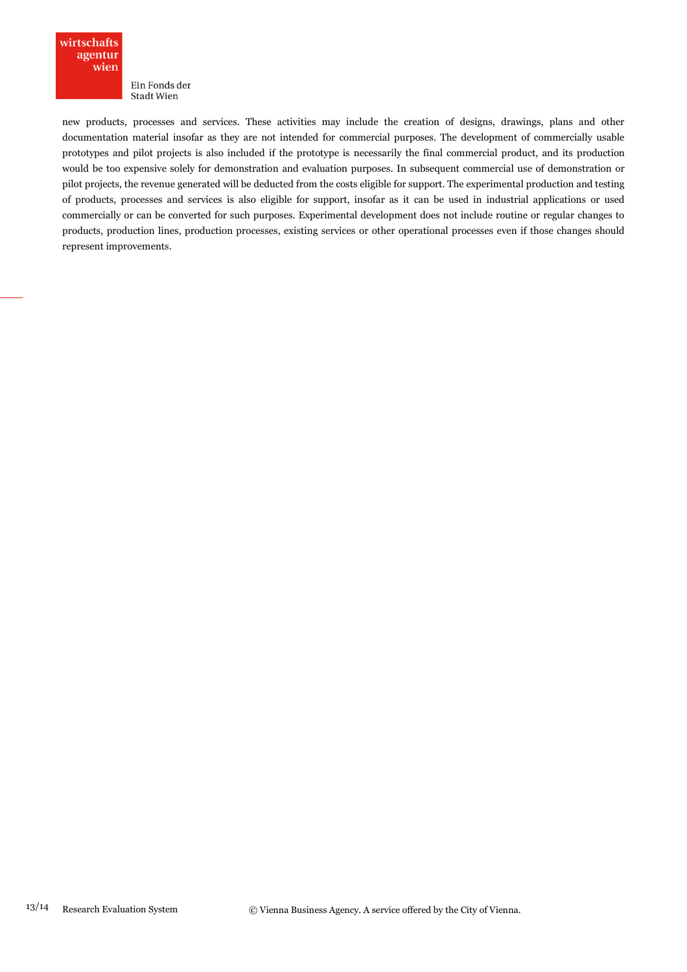

new products, processes and services. These activities may include the creation of designs, drawings, plans and other documentation material insofar as they are not intended for commercial purposes. The development of commercially usable prototypes and pilot projects is also included if the prototype is necessarily the final commercial product, and its production would be too expensive solely for demonstration and evaluation purposes. In subsequent commercial use of demonstration or pilot projects, the revenue generated will be deducted from the costs eligible for support. The experimental production and testing of products, processes and services is also eligible for support, insofar as it can be used in industrial applications or used commercially or can be converted for such purposes. Experimental development does not include routine or regular changes to products, production lines, production processes, existing services or other operational processes even if those changes should represent improvements.